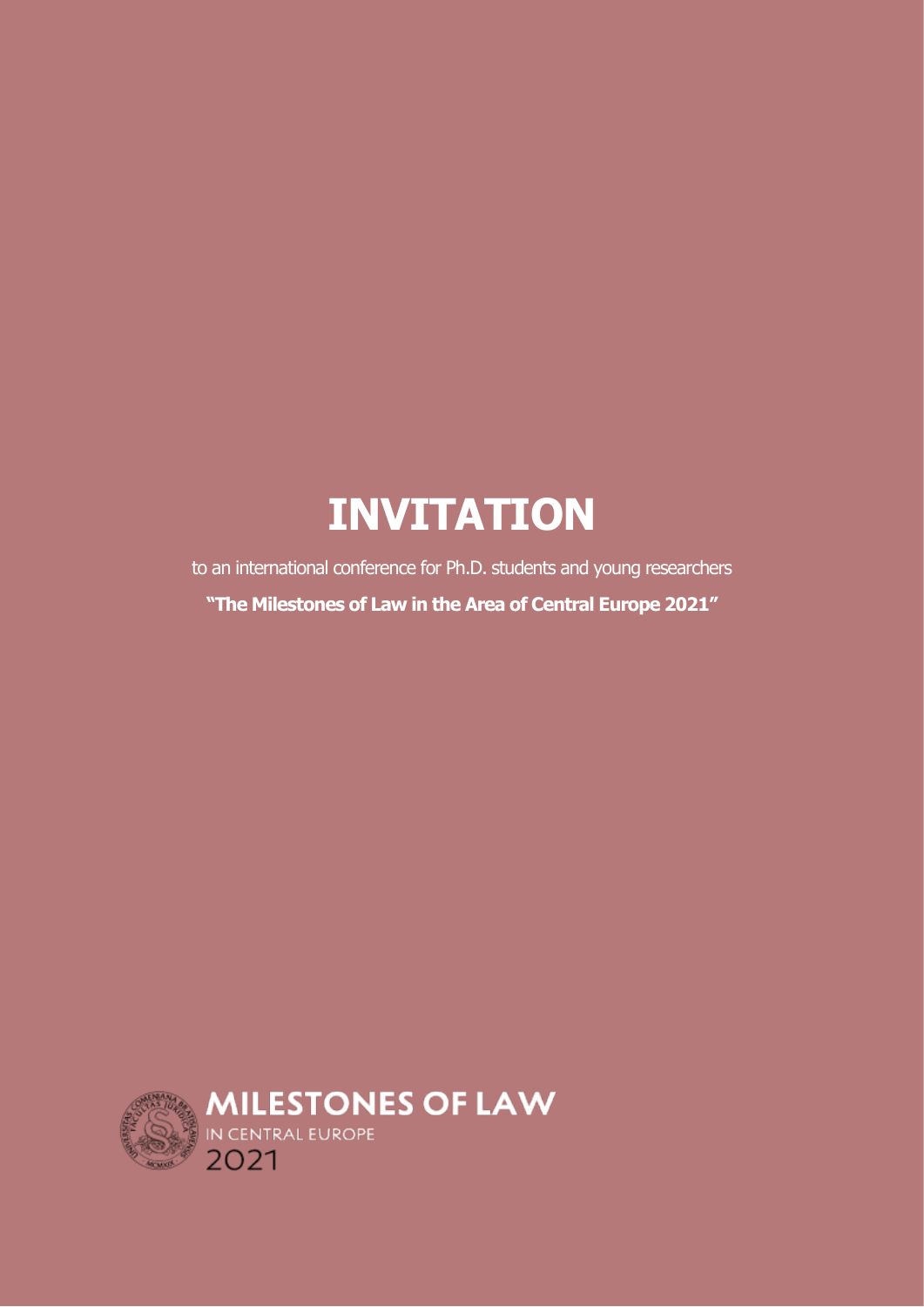# **INVITATION**

to an international conference for Ph.D. students and young researchers **"The Milestones of Law in the Area of Central Europe 2021"**

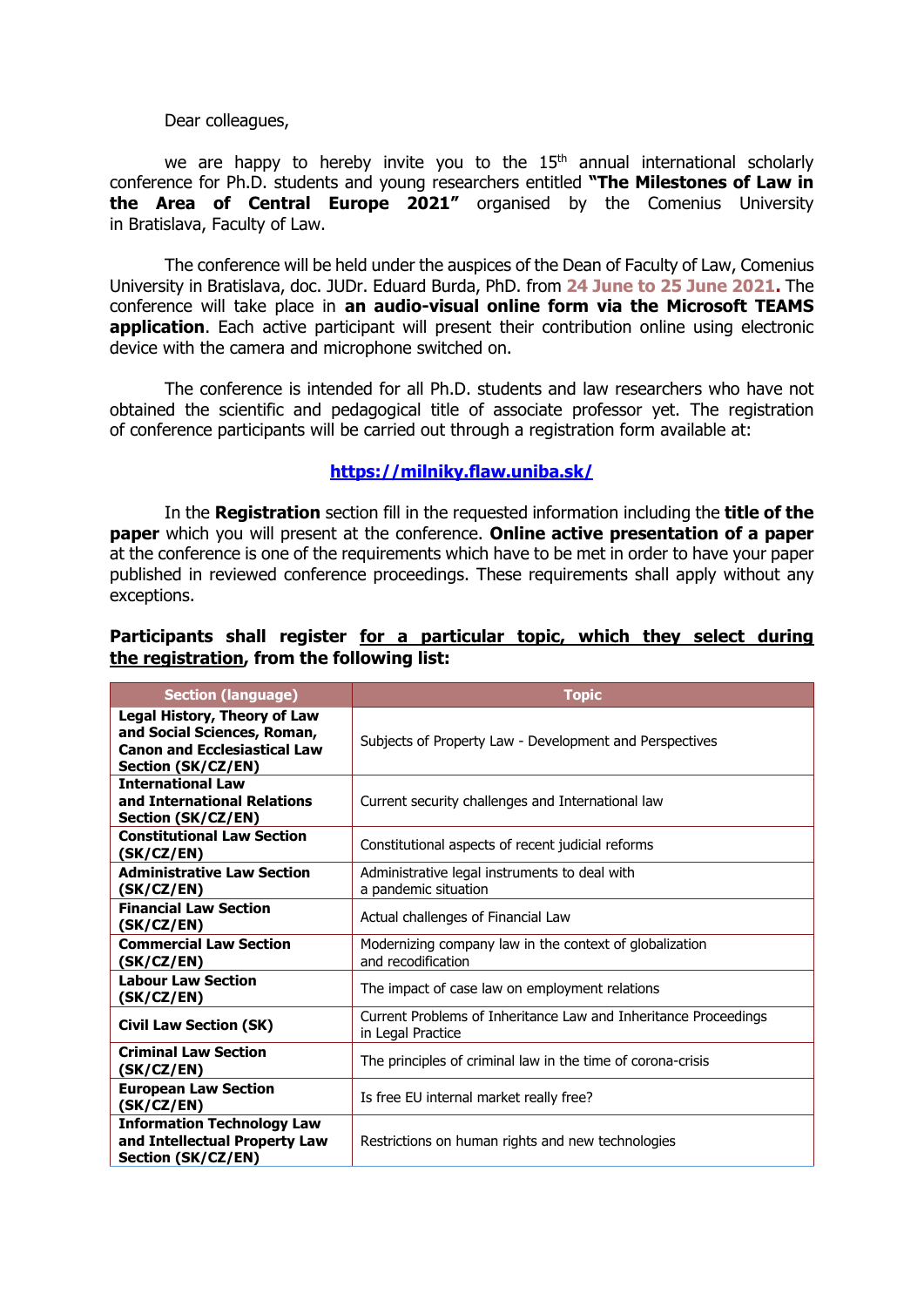Dear colleagues,

we are happy to hereby invite you to the  $15<sup>th</sup>$  annual international scholarly conference for Ph.D. students and young researchers entitled **"The Milestones of Law in the Area of Central Europe 2021"** organised by the Comenius University in Bratislava, Faculty of Law.

The conference will be held under the auspices of the Dean of Faculty of Law, Comenius University in Bratislava, doc. JUDr. Eduard Burda, PhD. from **24 June to 25 June 2021.** The conference will take place in **an audio-visual online form via the Microsoft TEAMS application**. Each active participant will present their contribution online using electronic device with the camera and microphone switched on.

The conference is intended for all Ph.D. students and law researchers who have not obtained the scientific and pedagogical title of associate professor yet. The registration of conference participants will be carried out through a registration form available at:

#### **<https://milniky.flaw.uniba.sk/>**

In the **Registration** section fill in the requested information including the **title of the paper** which you will present at the conference. **Online active presentation of a paper** at the conference is one of the requirements which have to be met in order to have your paper published in reviewed conference proceedings. These requirements shall apply without any exceptions.

### **Participants shall register for a particular topic, which they select during the registration, from the following list:**

| <b>Section (language)</b>                                                                                                       | <b>Topic</b>                                                                         |
|---------------------------------------------------------------------------------------------------------------------------------|--------------------------------------------------------------------------------------|
| <b>Legal History, Theory of Law</b><br>and Social Sciences, Roman,<br><b>Canon and Ecclesiastical Law</b><br>Section (SK/CZ/EN) | Subjects of Property Law - Development and Perspectives                              |
| <b>International Law</b><br>and International Relations<br>Section (SK/CZ/EN)                                                   | Current security challenges and International law                                    |
| <b>Constitutional Law Section</b><br>(SK/CZ/EN)                                                                                 | Constitutional aspects of recent judicial reforms                                    |
| <b>Administrative Law Section</b><br>(SK/CZ/EN)                                                                                 | Administrative legal instruments to deal with<br>a pandemic situation                |
| <b>Financial Law Section</b><br>(SK/CZ/EN)                                                                                      | Actual challenges of Financial Law                                                   |
| <b>Commercial Law Section</b><br>(SK/CZ/EN)                                                                                     | Modernizing company law in the context of globalization<br>and recodification        |
| <b>Labour Law Section</b><br>(SK/CZ/EN)                                                                                         | The impact of case law on employment relations                                       |
| <b>Civil Law Section (SK)</b>                                                                                                   | Current Problems of Inheritance Law and Inheritance Proceedings<br>in Legal Practice |
| <b>Criminal Law Section</b><br>(SK/CZ/EN)                                                                                       | The principles of criminal law in the time of corona-crisis                          |
| <b>European Law Section</b><br>(SK/CZ/EN)                                                                                       | Is free EU internal market really free?                                              |
| <b>Information Technology Law</b><br>and Intellectual Property Law<br>Section (SK/CZ/EN)                                        | Restrictions on human rights and new technologies                                    |